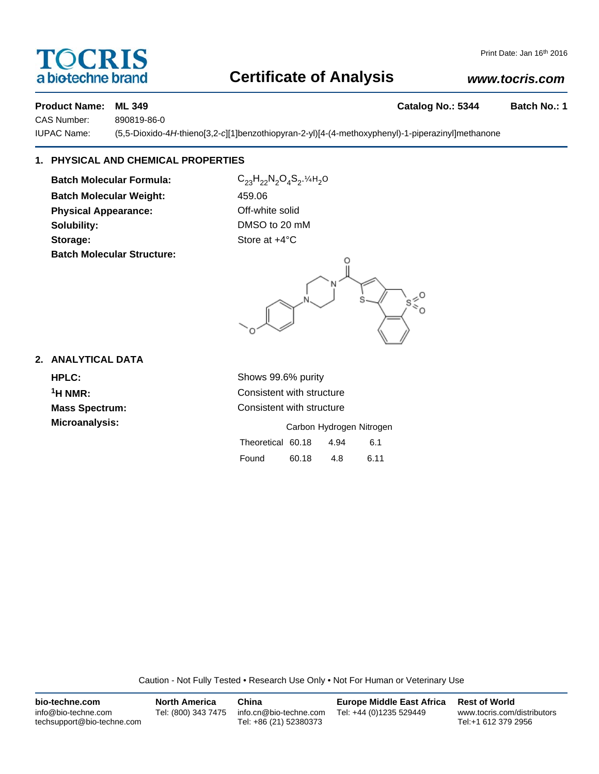# TOCRIS a biotechne brand

## **Certificate of Analysis**

## *www.tocris.com*

### **Product Name: ML 349 Catalog No.: 5344 Batch No.: 1**

CAS Number: 890819-86-0

IUPAC Name: (5,5-Dioxido-4*H*-thieno[3,2-*c*][1]benzothiopyran-2-yl)[4-(4-methoxyphenyl)-1-piperazinyl]methanone

## **1. PHYSICAL AND CHEMICAL PROPERTIES**

**Batch Molecular Formula:** C<sub>23</sub>H<sub>22</sub>N<sub>2</sub>O<sub>4</sub>S<sub>2</sub>.¼H<sub>2</sub>O **Batch Molecular Weight:** 459.06 **Physical Appearance: Contract Contract Contract Physical Appearance:** Off-white solid **Solubility:** DMSO to 20 mM **Storage:** Store at  $+4^{\circ}$ C **Batch Molecular Structure:**



### **2. ANALYTICAL DATA**

**HPLC:** Shows 99.6% purity **Microanalysis:** 

**1H NMR:** Consistent with structure **Mass Spectrum:** Consistent with structure

|                   |       | Carbon Hydrogen Nitrogen |      |
|-------------------|-------|--------------------------|------|
| Theoretical 60.18 |       | 4.94                     | 6.1  |
| Found             | 60.18 | 4.8                      | 6.11 |

Caution - Not Fully Tested • Research Use Only • Not For Human or Veterinary Use

| bio-techne.com                                    | <b>North America</b> | China                                            | <b>Europe Middle East Africa</b> | <b>Rest of World</b>                               |
|---------------------------------------------------|----------------------|--------------------------------------------------|----------------------------------|----------------------------------------------------|
| info@bio-techne.com<br>techsupport@bio-techne.com | Tel: (800) 343 7475  | info.cn@bio-techne.com<br>Tel: +86 (21) 52380373 | Tel: +44 (0)1235 529449          | www.tocris.com/distributors<br>Tel:+1 612 379 2956 |